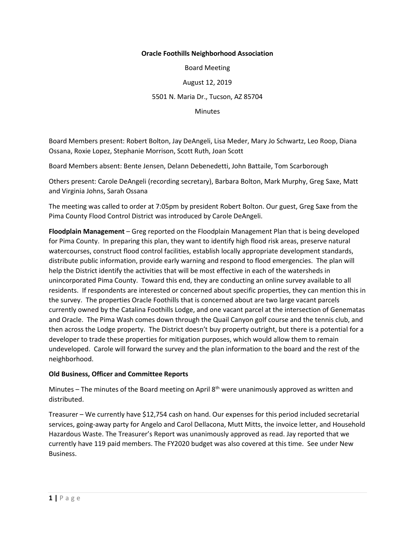## **Oracle Foothills Neighborhood Association**

Board Meeting

August 12, 2019

5501 N. Maria Dr., Tucson, AZ 85704

**Minutes** 

Board Members present: Robert Bolton, Jay DeAngeli, Lisa Meder, Mary Jo Schwartz, Leo Roop, Diana Ossana, Roxie Lopez, Stephanie Morrison, Scott Ruth, Joan Scott

Board Members absent: Bente Jensen, Delann Debenedetti, John Battaile, Tom Scarborough

Others present: Carole DeAngeli (recording secretary), Barbara Bolton, Mark Murphy, Greg Saxe, Matt and Virginia Johns, Sarah Ossana

The meeting was called to order at 7:05pm by president Robert Bolton. Our guest, Greg Saxe from the Pima County Flood Control District was introduced by Carole DeAngeli.

**Floodplain Management** – Greg reported on the Floodplain Management Plan that is being developed for Pima County. In preparing this plan, they want to identify high flood risk areas, preserve natural watercourses, construct flood control facilities, establish locally appropriate development standards, distribute public information, provide early warning and respond to flood emergencies. The plan will help the District identify the activities that will be most effective in each of the watersheds in unincorporated Pima County. Toward this end, they are conducting an online survey available to all residents. If respondents are interested or concerned about specific properties, they can mention this in the survey. The properties Oracle Foothills that is concerned about are two large vacant parcels currently owned by the Catalina Foothills Lodge, and one vacant parcel at the intersection of Genematas and Oracle. The Pima Wash comes down through the Quail Canyon golf course and the tennis club, and then across the Lodge property. The District doesn't buy property outright, but there is a potential for a developer to trade these properties for mitigation purposes, which would allow them to remain undeveloped. Carole will forward the survey and the plan information to the board and the rest of the neighborhood.

## **Old Business, Officer and Committee Reports**

Minutes – The minutes of the Board meeting on April  $8<sup>th</sup>$  were unanimously approved as written and distributed.

Treasurer – We currently have \$12,754 cash on hand. Our expenses for this period included secretarial services, going-away party for Angelo and Carol Dellacona, Mutt Mitts, the invoice letter, and Household Hazardous Waste. The Treasurer's Report was unanimously approved as read. Jay reported that we currently have 119 paid members. The FY2020 budget was also covered at this time. See under New Business.